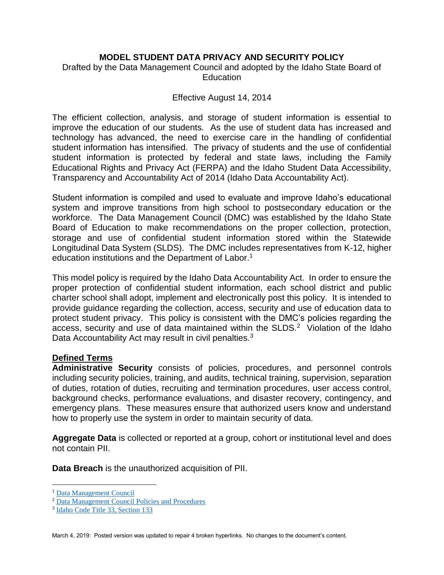### **MODEL STUDENT DATA PRIVACY AND SECURITY POLICY**

# Drafted by the Data Management Council and adopted by the Idaho State Board of **Education**

#### Effective August 14, 2014

The efficient collection, analysis, and storage of student information is essential to improve the education of our students. As the use of student data has increased and technology has advanced, the need to exercise care in the handling of confidential student information has intensified. The privacy of students and the use of confidential student information is protected by federal and state laws, including the Family Educational Rights and Privacy Act (FERPA) and the Idaho Student Data Accessibility, Transparency and Accountability Act of 2014 (Idaho Data Accountability Act).

Student information is compiled and used to evaluate and improve Idaho's educational system and improve transitions from high school to postsecondary education or the workforce. The Data Management Council (DMC) was established by the Idaho State Board of Education to make recommendations on the proper collection, protection, storage and use of confidential student information stored within the Statewide Longitudinal Data System (SLDS). The DMC includes representatives from K-12, higher education institutions and the Department of Labor.<sup>1</sup>

This model policy is required by the Idaho Data Accountability Act. In order to ensure the proper protection of confidential student information, each school district and public charter school shall adopt, implement and electronically post this policy. It is intended to provide guidance regarding the collection, access, security and use of education data to protect student privacy. This policy is consistent with the DMC's policies regarding the access, security and use of data maintained within the SLDS. $2$  Violation of the Idaho Data Accountability Act may result in civil penalties.<sup>3</sup>

### **Defined Terms**

**Administrative Security** consists of policies, procedures, and personnel controls including security policies, training, and audits, technical training, supervision, separation of duties, rotation of duties, recruiting and termination procedures, user access control, background checks, performance evaluations, and disaster recovery, contingency, and emergency plans. These measures ensure that authorized users know and understand how to properly use the system in order to maintain security of data.

**Aggregate Data** is collected or reported at a group, cohort or institutional level and does not contain PII.

**Data Breach** is the unauthorized acquisition of PII.

 $\overline{a}$ <sup>1</sup> [Data Management Council](https://boardofed.idaho.gov/board-facts/board-committees/data-management-council-dmc/)

<sup>2</sup> [Data Management Council Policies and Procedures](https://boardofed.idaho.gov/resources/data-management-council-policies-and-procedures/)

<sup>3</sup> [Idaho Code Title 33, Section 133](https://legislature.idaho.gov/statutesrules/idstat/title33/t33ch1/sect33-133/)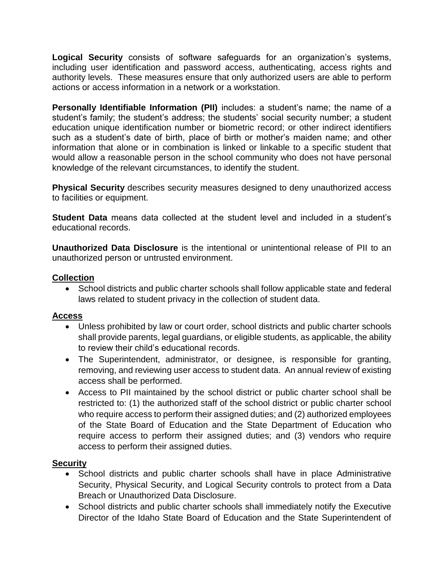**Logical Security** consists of software safeguards for an organization's systems, including user identification and password access, authenticating, access rights and authority levels. These measures ensure that only authorized users are able to perform actions or access information in a network or a workstation.

**Personally Identifiable Information (PII)** includes: a student's name; the name of a student's family; the student's address; the students' social security number; a student education unique identification number or biometric record; or other indirect identifiers such as a student's date of birth, place of birth or mother's maiden name; and other information that alone or in combination is linked or linkable to a specific student that would allow a reasonable person in the school community who does not have personal knowledge of the relevant circumstances, to identify the student.

**Physical Security** describes security measures designed to deny unauthorized access to facilities or equipment.

**Student Data** means data collected at the student level and included in a student's educational records.

**Unauthorized Data Disclosure** is the intentional or unintentional release of PII to an unauthorized person or untrusted environment.

### **Collection**

• School districts and public charter schools shall follow applicable state and federal laws related to student privacy in the collection of student data.

### **Access**

- Unless prohibited by law or court order, school districts and public charter schools shall provide parents, legal guardians, or eligible students, as applicable, the ability to review their child's educational records.
- The Superintendent, administrator, or designee, is responsible for granting, removing, and reviewing user access to student data. An annual review of existing access shall be performed.
- Access to PII maintained by the school district or public charter school shall be restricted to: (1) the authorized staff of the school district or public charter school who require access to perform their assigned duties; and (2) authorized employees of the State Board of Education and the State Department of Education who require access to perform their assigned duties; and (3) vendors who require access to perform their assigned duties.

# **Security**

- School districts and public charter schools shall have in place Administrative Security, Physical Security, and Logical Security controls to protect from a Data Breach or Unauthorized Data Disclosure.
- School districts and public charter schools shall immediately notify the Executive Director of the Idaho State Board of Education and the State Superintendent of